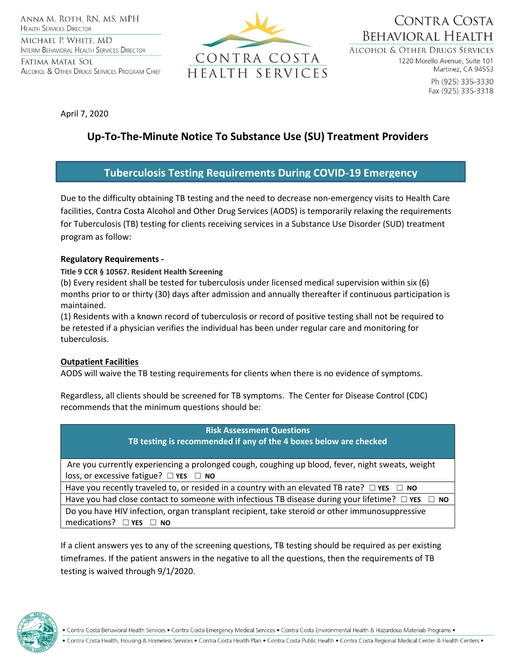ANNA M. ROTH, RN, MS, MPH **HEALTH SERVICES DIRECTOR** MICHAEL P. WHITE, MD **INTERIM BEHAVIORAL HEALTH SERVICES DIRECTOR** 

FATIMA MATAL SOL ALCOHOL & OTHER DRUGS SERVICES PROGRAM CHIEF



CONTRA COSTA **BEHAVIORAL HEALTH** 

**ALCOHOL & OTHER DRUGS SERVICES** 

1220 Morello Avenue, Suite 101 Martinez, CA 94553

Ph (925) 335-3330 Fax (925) 335-3318

April 7, 2020

# **Up-To-The-Minute Notice To Substance Use (SU) Treatment Providers**

## **Tuberculosis Testing Requirements During COVID-19 Emergency**

Due to the difficulty obtaining TB testing and the need to decrease non-emergency visits to Health Care facilities, Contra Costa Alcohol and Other Drug Services (AODS) is temporarily relaxing the requirements for Tuberculosis (TB) testing for clients receiving services in a Substance Use Disorder (SUD) treatment program as follow:

### **Regulatory Requirements -**

### **Title 9 CCR § 10567. Resident Health Screening**

(b) Every resident shall be tested for tuberculosis under licensed medical supervision within six (6) months prior to or thirty (30) days after admission and annually thereafter if continuous participation is maintained.

(1) Residents with a known record of tuberculosis or record of positive testing shall not be required to be retested if a physician verifies the individual has been under regular care and monitoring for tuberculosis.

### **Outpatient Facilities**

AODS will waive the TB testing requirements for clients when there is no evidence of symptoms.

Regardless, all clients should be screened for TB symptoms. The Center for Disease Control (CDC) recommends that the minimum questions should be:

| <b>Risk Assessment Questions</b><br>TB testing is recommended if any of the 4 boxes below are checked       |
|-------------------------------------------------------------------------------------------------------------|
| Are you currently experiencing a prolonged cough, coughing up blood, fever, night sweats, weight            |
| loss, or excessive fatigue? $\Box$ YES $\Box$ NO                                                            |
| Have you recently traveled to, or resided in a country with an elevated TB rate? $\Box$ YES $\Box$ NO       |
| Have you had close contact to someone with infectious TB disease during your lifetime? $\Box$ YES $\Box$ NO |
| Do you have HIV infection, organ transplant recipient, take steroid or other immunosuppressive              |
| medications? $\square$ YES $\square$ NO                                                                     |

If a client answers yes to any of the screening questions, TB testing should be required as per existing timeframes. If the patient answers in the negative to all the questions, then the requirements of TB testing is waived through 9/1/2020.



. Contra Costa Behavioral Health Services . Contra Costa Emergency Medical Services . Contra Costa Environmental Health & Hazardous Materials Programs .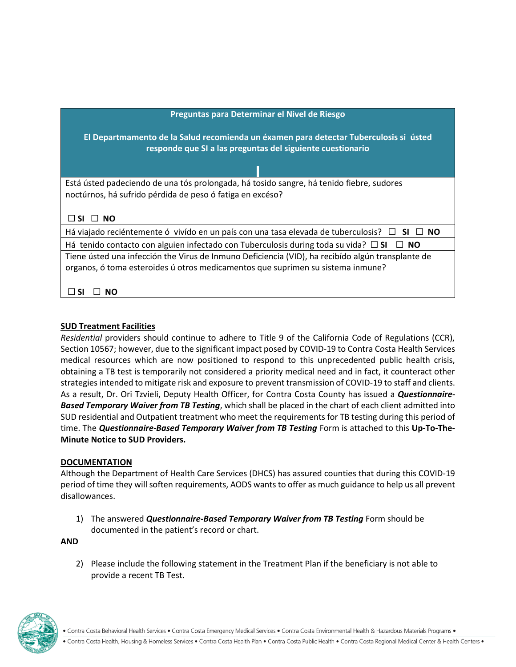| Preguntas para Determinar el Nivel de Riesgo                                                                                                                                         |
|--------------------------------------------------------------------------------------------------------------------------------------------------------------------------------------|
| El Departmamento de la Salud recomienda un éxamen para detectar Tuberculosis si ústed<br>responde que SI a las preguntas del siguiente cuestionario                                  |
|                                                                                                                                                                                      |
| Está ústed padeciendo de una tós prolongada, há tosido sangre, há tenido fiebre, sudores<br>noctúrnos, há sufrido pérdida de peso ó fatiga en excéso?<br>$\Box$ SI $\Box$ NO         |
| Há viajado reciéntemente ó vivído en un país con una tasa elevada de tuberculosis? $\square$<br>$SI \perp NO$                                                                        |
| Há tenido contacto con alguien infectado con Tuberculosis during toda su vida? $\square$ SI<br>$\Box$ No                                                                             |
| Tiene ústed una infección the Virus de Inmuno Deficiencia (VID), ha recibído algún transplante de<br>organos, ó toma esteroides ú otros medicamentos que suprimen su sistema inmune? |
|                                                                                                                                                                                      |

#### **SUD Treatment Facilities**

*Residential* providers should continue to adhere to Title 9 of the California Code of Regulations (CCR), Section 10567; however, due to the significant impact posed by COVID-19 to Contra Costa Health Services medical resources which are now positioned to respond to this unprecedented public health crisis, obtaining a TB test is temporarily not considered a priority medical need and in fact, it counteract other strategies intended to mitigate risk and exposure to prevent transmission of COVID-19 to staff and clients. As a result, Dr. Ori Tzvieli, Deputy Health Officer, for Contra Costa County has issued a *Questionnaire-Based Temporary Waiver from TB Testing*, which shall be placed in the chart of each client admitted into SUD residential and Outpatient treatment who meet the requirements for TB testing during this period of time. The *Questionnaire-Based Temporary Waiver from TB Testing* Form is attached to this **Up-To-The-Minute Notice to SUD Providers.**

#### **DOCUMENTATION**

Although the Department of Health Care Services (DHCS) has assured counties that during this COVID-19 period of time they will soften requirements, AODS wants to offer as much guidance to help us all prevent disallowances.

1) The answered *Questionnaire-Based Temporary Waiver from TB Testing* Form should be documented in the patient's record or chart.

**AND**

2) Please include the following statement in the Treatment Plan if the beneficiary is not able to provide a recent TB Test.



. Contra Costa Behavioral Health Services . Contra Costa Emergency Medical Services . Contra Costa Environmental Health & Hazardous Materials Programs .